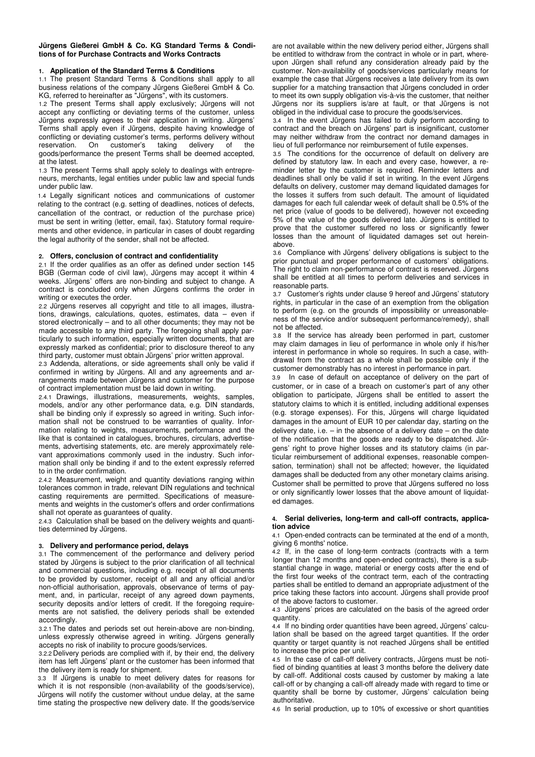### **Jürgens Gießerei GmbH & Co. KG Standard Terms & Conditions of for Purchase Contracts and Works Contracts**

### **1. Application of the Standard Terms & Conditions**

1.1 The present Standard Terms & Conditions shall apply to all business relations of the company Jürgens Gießerei GmbH & Co. KG, referred to hereinafter as "Jürgens", with its customers.

1.2 The present Terms shall apply exclusively; Jürgens will not accept any conflicting or deviating terms of the customer, unless Jürgens expressly agrees to their application in writing. Jürgens' Terms shall apply even if Jürgens, despite having knowledge of conflicting or deviating customer's terms, performs delivery without reservation. On customer's taking delivery of the goods/performance the present Terms shall be deemed accepted, at the latest.

1.3 The present Terms shall apply solely to dealings with entrepreneurs, merchants, legal entities under public law and special funds under public law.

1.4 Legally significant notices and communications of customer relating to the contract (e.g. setting of deadlines, notices of defects, cancellation of the contract, or reduction of the purchase price) must be sent in writing (letter, email, fax). Statutory formal requirements and other evidence, in particular in cases of doubt regarding the legal authority of the sender, shall not be affected.

#### **2. Offers, conclusion of contract and confidentiality**

2.1 If the order qualifies as an offer as defined under section 145 BGB (German code of civil law), Jürgens may accept it within 4 weeks. Jürgens' offers are non-binding and subject to change. A contract is concluded only when Jürgens confirms the order in writing or executes the order.

2.2 Jürgens reserves all copyright and title to all images, illustrations, drawings, calculations, quotes, estimates, data – even if stored electronically – and to all other documents; they may not be made accessible to any third party. The foregoing shall apply particularly to such information, especially written documents, that are expressly marked as confidential; prior to disclosure thereof to any third party, customer must obtain Jürgens' prior written approval.

2.3 Addenda, alterations, or side agreements shall only be valid if confirmed in writing by Jürgens. All and any agreements and arrangements made between Jürgens and customer for the purpose of contract implementation must be laid down in writing.

2.4.1 Drawings, illustrations, measurements, weights, samples, models, and/or any other performance data, e.g. DIN standards, shall be binding only if expressly so agreed in writing. Such information shall not be construed to be warranties of quality. Information relating to weights, measurements, performance and the like that is contained in catalogues, brochures, circulars, advertisements, advertising statements, etc. are merely approximately relevant approximations commonly used in the industry. Such information shall only be binding if and to the extent expressly referred to in the order confirmation.

2.4.2 Measurement, weight and quantity deviations ranging within tolerances common in trade, relevant DIN regulations and technical casting requirements are permitted. Specifications of measurements and weights in the customer's offers and order confirmations shall not operate as guarantees of quality.

2.4.3 Calculation shall be based on the delivery weights and quantities determined by Jürgens.

### **3. Delivery and performance period, delays**

3.1 The commencement of the performance and delivery period stated by Jürgens is subject to the prior clarification of all technical and commercial questions, including e.g. receipt of all documents to be provided by customer, receipt of all and any official and/or non-official authorisation, approvals, observance of terms of payment, and, in particular, receipt of any agreed down payments, security deposits and/or letters of credit. If the foregoing requirements are not satisfied, the delivery periods shall be extended accordingly.

3.2.1 The dates and periods set out herein-above are non-binding, unless expressly otherwise agreed in writing. Jürgens generally accepts no risk of inability to procure goods/services.

3.2.2 Delivery periods are complied with if, by their end, the delivery item has left Jürgens' plant or the customer has been informed that the delivery item is ready for shipment.

3.3 If Jürgens is unable to meet delivery dates for reasons for which it is not responsible (non-availability of the goods/service), Jürgens will notify the customer without undue delay, at the same time stating the prospective new delivery date. If the goods/service are not available within the new delivery period either, Jürgens shall be entitled to withdraw from the contract in whole or in part, whereupon Jürgen shall refund any consideration already paid by the customer. Non-availability of goods/services particularly means for example the case that Jürgens receives a late delivery from its own supplier for a matching transaction that Jürgens concluded in order to meet its own supply obligation vis-à-vis the customer, that neither Jürgens nor its suppliers is/are at fault, or that Jürgens is not obliged in the individual case to procure the goods/services.

3.4 In the event Jürgens has failed to duly perform according to contract and the breach on Jürgens' part is insignificant, customer may neither withdraw from the contract nor demand damages in lieu of full performance nor reimbursement of futile expenses.

3.5 The conditions for the occurrence of default on delivery are defined by statutory law. In each and every case, however, a reminder letter by the customer is required. Reminder letters and deadlines shall only be valid if set in writing. In the event Jürgens defaults on delivery, customer may demand liquidated damages for the losses it suffers from such default. The amount of liquidated damages for each full calendar week of default shall be 0.5% of the net price (value of goods to be delivered), however not exceeding 5% of the value of the goods delivered late. Jürgens is entitled to prove that the customer suffered no loss or significantly fewer losses than the amount of liquidated damages set out hereinabove.

3.6 Compliance with Jürgens' delivery obligations is subject to the prior punctual and proper performance of customers' obligations. The right to claim non-performance of contract is reserved. Jürgens shall be entitled at all times to perform deliveries and services in reasonable parts.

3.7 Customer's rights under clause 9 hereof and Jürgens' statutory rights, in particular in the case of an exemption from the obligation to perform (e.g. on the grounds of impossibility or unreasonableness of the service and/or subsequent performance/remedy), shall not be affected.

3.8 If the service has already been performed in part, customer may claim damages in lieu of performance in whole only if his/her interest in performance in whole so requires. In such a case, withdrawal from the contract as a whole shall be possible only if the customer demonstrably has no interest in performance in part.

In case of default on acceptance of delivery on the part of customer, or in case of a breach on customer's part of any other obligation to participate, Jürgens shall be entitled to assert the statutory claims to which it is entitled, including additional expenses (e.g. storage expenses). For this, Jürgens will charge liquidated damages in the amount of EUR 10 per calendar day, starting on the delivery date, i.e.  $-$  in the absence of a delivery date  $-$  on the date of the notification that the goods are ready to be dispatched. Jürgens' right to prove higher losses and its statutory claims (in particular reimbursement of additional expenses, reasonable compensation, termination) shall not be affected; however, the liquidated damages shall be deducted from any other monetary claims arising. Customer shall be permitted to prove that Jürgens suffered no loss or only significantly lower losses that the above amount of liquidated damages.

#### **4. Serial deliveries, long-term and call-off contracts, application advice**

4.1 Open-ended contracts can be terminated at the end of a month, giving 6 months' notice.

4.2 If, in the case of long-term contracts (contracts with a term longer than 12 months and open-ended contracts), there is a substantial change in wage, material or energy costs after the end of the first four weeks of the contract term, each of the contracting parties shall be entitled to demand an appropriate adjustment of the price taking these factors into account. Jürgens shall provide proof of the above factors to customer.

4.3 Jürgens' prices are calculated on the basis of the agreed order quantity.

4.4 If no binding order quantities have been agreed, Jürgens' calculation shall be based on the agreed target quantities. If the order quantity or target quantity is not reached Jürgens shall be entitled to increase the price per unit.

4.5 In the case of call-off delivery contracts, Jürgens must be notified of binding quantities at least 3 months before the delivery date by call-off. Additional costs caused by customer by making a late call-off or by changing a call-off already made with regard to time or quantity shall be borne by customer, Jürgens' calculation being authoritative.

4.6 In serial production, up to 10% of excessive or short quantities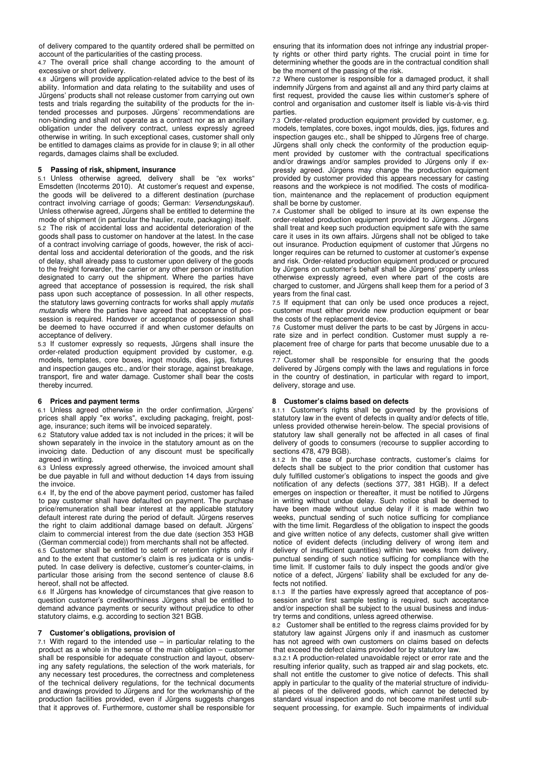of delivery compared to the quantity ordered shall be permitted on account of the particularities of the casting process.

4.7 The overall price shall change according to the amount of excessive or short delivery.

4.8 Jürgens will provide application-related advice to the best of its ability. Information and data relating to the suitability and uses of Jürgens' products shall not release customer from carrying out own tests and trials regarding the suitability of the products for the intended processes and purposes. Jürgens' recommendations are non-binding and shall not operate as a contract nor as an ancillary obligation under the delivery contract, unless expressly agreed otherwise in writing. In such exceptional cases, customer shall only be entitled to damages claims as provide for in clause 9; in all other regards, damages claims shall be excluded.

# **5 Passing of risk, shipment, insurance**

5.1 Unless otherwise agreed, delivery shall be "ex works" Emsdetten (Incoterms 2010). At customer's request and expense, the goods will be delivered to a different destination (purchase contract involving carriage of goods; German: Versendungskauf). Unless otherwise agreed, Jürgens shall be entitled to determine the mode of shipment (in particular the haulier, route, packaging) itself. 5.2 The risk of accidental loss and accidental deterioration of the goods shall pass to customer on handover at the latest. In the case of a contract involving carriage of goods, however, the risk of accidental loss and accidental deterioration of the goods, and the risk of delay, shall already pass to customer upon delivery of the goods to the freight forwarder, the carrier or any other person or institution designated to carry out the shipment. Where the parties have agreed that acceptance of possession is required, the risk shall pass upon such acceptance of possession. In all other respects, the statutory laws governing contracts for works shall apply mutatis mutandis where the parties have agreed that acceptance of possession is required. Handover or acceptance of possession shall be deemed to have occurred if and when customer defaults on acceptance of delivery.

5.3 If customer expressly so requests, Jürgens shall insure the order-related production equipment provided by customer, e.g. models, templates, core boxes, ingot moulds, dies, jigs, fixtures and inspection gauges etc., and/or their storage, against breakage, transport, fire and water damage. Customer shall bear the costs thereby incurred.

# **6 Prices and payment terms**

6.1 Unless agreed otherwise in the order confirmation, Jürgens' prices shall apply "ex works", excluding packaging, freight, postage, insurance; such items will be invoiced separately.

6.2 Statutory value added tax is not included in the prices; it will be shown separately in the invoice in the statutory amount as on the invoicing date. Deduction of any discount must be specifically agreed in writing.

6.3 Unless expressly agreed otherwise, the invoiced amount shall be due payable in full and without deduction 14 days from issuing the invoice.

6.4 If, by the end of the above payment period, customer has failed to pay customer shall have defaulted on payment. The purchase price/remuneration shall bear interest at the applicable statutory default interest rate during the period of default. Jürgens reserves the right to claim additional damage based on default. Jürgens' claim to commercial interest from the due date (section 353 HGB (German commercial code)) from merchants shall not be affected.

6.5 Customer shall be entitled to setoff or retention rights only if and to the extent that customer's claim is res judicata or is undisputed. In case delivery is defective, customer's counter-claims, in particular those arising from the second sentence of clause 8.6 hereof, shall not be affected.

6.6 If Jürgens has knowledge of circumstances that give reason to question customer's creditworthiness Jürgens shall be entitled to demand advance payments or security without prejudice to other statutory claims, e.g. according to section 321 BGB.

### **7 Customer's obligations, provision of**

7.1 With regard to the intended use  $-$  in particular relating to the product as a whole in the sense of the main obligation – customer shall be responsible for adequate construction and layout, observing any safety regulations, the selection of the work materials, for any necessary test procedures, the correctness and completeness of the technical delivery regulations, for the technical documents and drawings provided to Jürgens and for the workmanship of the production facilities provided, even if Jürgens suggests changes that it approves of. Furthermore, customer shall be responsible for ensuring that its information does not infringe any industrial property rights or other third party rights. The crucial point in time for determining whether the goods are in the contractual condition shall be the moment of the passing of the risk.

7.2 Where customer is responsible for a damaged product, it shall indemnify Jürgens from and against all and any third party claims at first request, provided the cause lies within customer's sphere of control and organisation and customer itself is liable vis-à-vis third parties.

7.3 Order-related production equipment provided by customer, e.g. models, templates, core boxes, ingot moulds, dies, jigs, fixtures and inspection gauges etc., shall be shipped to Jürgens free of charge. Jürgens shall only check the conformity of the production equipment provided by customer with the contractual specifications and/or drawings and/or samples provided to Jürgens only if expressly agreed. Jürgens may change the production equipment provided by customer provided this appears necessary for casting reasons and the workpiece is not modified. The costs of modification, maintenance and the replacement of production equipment shall be borne by customer.

7.4 Customer shall be obliged to insure at its own expense the order-related production equipment provided to Jürgens. Jürgens shall treat and keep such production equipment safe with the same care it uses in its own affairs. Jürgens shall not be obliged to take out insurance. Production equipment of customer that Jürgens no longer requires can be returned to customer at customer's expense and risk. Order-related production equipment produced or procured by Jürgens on customer's behalf shall be Jürgens' property unless otherwise expressly agreed, even where part of the costs are charged to customer, and Jürgens shall keep them for a period of 3 years from the final cast.

7.5 If equipment that can only be used once produces a reject, customer must either provide new production equipment or bear the costs of the replacement device.

7.6 Customer must deliver the parts to be cast by Jürgens in accurate size and in perfect condition. Customer must supply a replacement free of charge for parts that become unusable due to a reject.

7.7 Customer shall be responsible for ensuring that the goods delivered by Jürgens comply with the laws and regulations in force in the country of destination, in particular with regard to import, delivery, storage and use.

# **8 Customer's claims based on defects**

8.1.1 Customer's rights shall be governed by the provisions of statutory law in the event of defects in quality and/or defects of title, unless provided otherwise herein-below. The special provisions of statutory law shall generally not be affected in all cases of final delivery of goods to consumers (recourse to supplier according to sections 478, 479 BGB).

8.1.2 In the case of purchase contracts, customer's claims for defects shall be subject to the prior condition that customer has duly fulfilled customer's obligations to inspect the goods and give notification of any defects (sections 377, 381 HGB). If a defect emerges on inspection or thereafter, it must be notified to Jürgens in writing without undue delay. Such notice shall be deemed to have been made without undue delay if it is made within two weeks, punctual sending of such notice sufficing for compliance with the time limit. Regardless of the obligation to inspect the goods and give written notice of any defects, customer shall give written notice of evident defects (including delivery of wrong item and delivery of insufficient quantities) within two weeks from delivery, punctual sending of such notice sufficing for compliance with the time limit. If customer fails to duly inspect the goods and/or give notice of a defect, Jürgens' liability shall be excluded for any defects not notified.

8.1.3 If the parties have expressly agreed that acceptance of possession and/or first sample testing is required, such acceptance and/or inspection shall be subject to the usual business and industry terms and conditions, unless agreed otherwise.

8.2 Customer shall be entitled to the regress claims provided for by statutory law against Jürgens only if and inasmuch as customer has not agreed with own customers on claims based on defects that exceed the defect claims provided for by statutory law.

8.3.2.1 A production-related unavoidable reject or error rate and the resulting inferior quality, such as trapped air and slag pockets, etc. shall not entitle the customer to give notice of defects. This shall apply in particular to the quality of the material structure of individual pieces of the delivered goods, which cannot be detected by standard visual inspection and do not become manifest until subsequent processing, for example. Such impairments of individual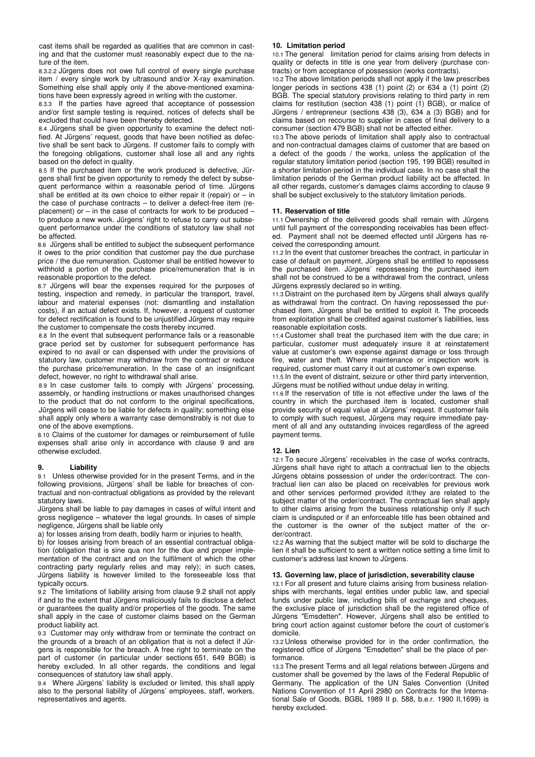cast items shall be regarded as qualities that are common in casting and that the customer must reasonably expect due to the nature of the item.

8.3.2.2 Jürgens does not owe full control of every single purchase item / every single work by ultrasound and/or X-ray examination. Something else shall apply only if the above-mentioned examinations have been expressly agreed in writing with the customer.

8.3.3 If the parties have agreed that acceptance of possession and/or first sample testing is required, notices of defects shall be excluded that could have been thereby detected.

8.4 Jürgens shall be given opportunity to examine the defect notified. At Jürgens' request, goods that have been notified as defective shall be sent back to Jürgens. If customer fails to comply with the foregoing obligations, customer shall lose all and any rights based on the defect in quality.

8.5 If the purchased item or the work produced is defective, Jürgens shall first be given opportunity to remedy the defect by subsequent performance within a reasonable period of time. Jürgens shall be entitled at its own choice to either repair it (repair) or – in the case of purchase contracts – to deliver a defect-free item (replacement) or – in the case of contracts for work to be produced – to produce a new work. Jürgens' right to refuse to carry out subsequent performance under the conditions of statutory law shall not be affected.

8.6 Jürgens shall be entitled to subject the subsequent performance it owes to the prior condition that customer pay the due purchase price / the due remuneration. Customer shall be entitled however to withhold a portion of the purchase price/remuneration that is in reasonable proportion to the defect.

8.7 Jürgens will bear the expenses required for the purposes of testing, inspection and remedy, in particular the transport, travel, labour and material expenses (not: dismantling and installation costs), if an actual defect exists. If, however, a request of customer for defect rectification is found to be unjustified Jürgens may require the customer to compensate the costs thereby incurred.

8.8 In the event that subsequent performance fails or a reasonable grace period set by customer for subsequent performance has expired to no avail or can dispensed with under the provisions of statutory law, customer may withdraw from the contract or reduce the purchase price/remuneration. In the case of an insignificant defect, however, no right to withdrawal shall arise.

8.9 In case customer fails to comply with Jürgens' processing, assembly, or handling instructions or makes unauthorised changes to the product that do not conform to the original specifications, Jürgens will cease to be liable for defects in quality; something else shall apply only where a warranty case demonstrably is not due to one of the above exemptions.

8.10 Claims of the customer for damages or reimbursement of futile expenses shall arise only in accordance with clause 9 and are otherwise excluded.

# **9. Liability**

9.1 Unless otherwise provided for in the present Terms, and in the following provisions, Jürgens' shall be liable for breaches of contractual and non-contractual obligations as provided by the relevant statutory laws.

Jürgens shall be liable to pay damages in cases of wilful intent and gross negligence – whatever the legal grounds. In cases of simple negligence, Jürgens shall be liable only

a) for losses arising from death, bodily harm or injuries to health,

b) for losses arising from breach of an essential contractual obligation (obligation that is sine qua non for the due and proper implementation of the contract and on the fulfilment of which the other contracting party regularly relies and may rely); in such cases, Jürgens liability is however limited to the foreseeable loss that typically occurs.

9.2 The limitations of liability arising from clause 9.2 shall not apply if and to the extent that Jürgens maliciously fails to disclose a defect or guarantees the quality and/or properties of the goods. The same shall apply in the case of customer claims based on the German product liability act.

9.3 Customer may only withdraw from or terminate the contract on the grounds of a breach of an obligation that is not a defect if Jürgens is responsible for the breach. A free right to terminate on the part of customer (in particular under sections 651, 649 BGB) is hereby excluded. In all other regards, the conditions and legal consequences of statutory law shall apply.

9.4 Where Jürgens' liability is excluded or limited, this shall apply also to the personal liability of Jürgens' employees, staff, workers, representatives and agents.

### **10. Limitation period**

10.1 The general limitation period for claims arising from defects in quality or defects in title is one year from delivery (purchase contracts) or from acceptance of possession (works contracts).

10.2 The above limitation periods shall not apply if the law prescribes longer periods in sections 438 (1) point (2) or 634 a (1) point (2) BGB. The special statutory provisions relating to third party in rem claims for restitution (section 438 (1) point (1) BGB), or malice of Jürgens / entrepreneur (sections 438 (3), 634 a (3) BGB) and for claims based on recourse to supplier in cases of final delivery to a consumer (section 479 BGB) shall not be affected either.

10.3 The above periods of limitation shall apply also to contractual and non-contractual damages claims of customer that are based on a defect of the goods / the works, unless the application of the regular statutory limitation period (section 195, 199 BGB) resulted in a shorter limitation period in the individual case. In no case shall the limitation periods of the German product liability act be affected. In all other regards, customer's damages claims according to clause 9 shall be subject exclusively to the statutory limitation periods.

# **11. Reservation of title**

11.1 Ownership of the delivered goods shall remain with Jürgens until full payment of the corresponding receivables has been effected. Payment shall not be deemed effected until Jürgens has received the corresponding amount.

11.2 In the event that customer breaches the contract, in particular in case of default on payment, Jürgens shall be entitled to repossess the purchased item. Jürgens' repossessing the purchased item shall not be construed to be a withdrawal from the contract, unless Jürgens expressly declared so in writing.

11.3 Distraint on the purchased item by Jürgens shall always qualify as withdrawal from the contract. On having repossessed the purchased item, Jürgens shall be entitled to exploit it. The proceeds from exploitation shall be credited against customer's liabilities, less reasonable exploitation costs.

11.4 Customer shall treat the purchased item with the due care; in particular, customer must adequately insure it at reinstatement value at customer's own expense against damage or loss through fire, water and theft. Where maintenance or inspection work is required, customer must carry it out at customer's own expense.

11.5 In the event of distraint, seizure or other third party intervention, Jürgens must be notified without undue delay in writing.

11.6 If the reservation of title is not effective under the laws of the country in which the purchased item is located, customer shall provide security of equal value at Jürgens' request. If customer fails to comply with such request, Jürgens may require immediate payment of all and any outstanding invoices regardless of the agreed payment terms.

#### **12. Lien**

12.1 To secure Jürgens' receivables in the case of works contracts, Jürgens shall have right to attach a contractual lien to the objects Jürgens obtains possession of under the order/contract. The contractual lien can also be placed on receivables for previous work and other services performed provided it/they are related to the subject matter of the order/contract. The contractual lien shall apply to other claims arising from the business relationship only if such claim is undisputed or if an enforceable title has been obtained and the customer is the owner of the subject matter of the order/contract.

12.2 As warning that the subject matter will be sold to discharge the lien it shall be sufficient to sent a written notice setting a time limit to customer's address last known to Jürgens.

### **13. Governing law, place of jurisdiction, severability clause**

13.1 For all present and future claims arising from business relationships with merchants, legal entities under public law, and special funds under public law, including bills of exchange and cheques, the exclusive place of jurisdiction shall be the registered office of Jürgens "Emsdetten". However, Jürgens shall also be entitled to bring court action against customer before the court of customer's domicile.

13.2 Unless otherwise provided for in the order confirmation, the registered office of Jürgens "Emsdetten" shall be the place of performance.

13.3 The present Terms and all legal relations between Jürgens and customer shall be governed by the laws of the Federal Republic of Germany. The application of the UN Sales Convention (United Nations Convention of 11 April 2980 on Contracts for the International Sale of Goods, BGBL 1989 II p. 588, b.e.r. 1990 II,1699) is hereby excluded.